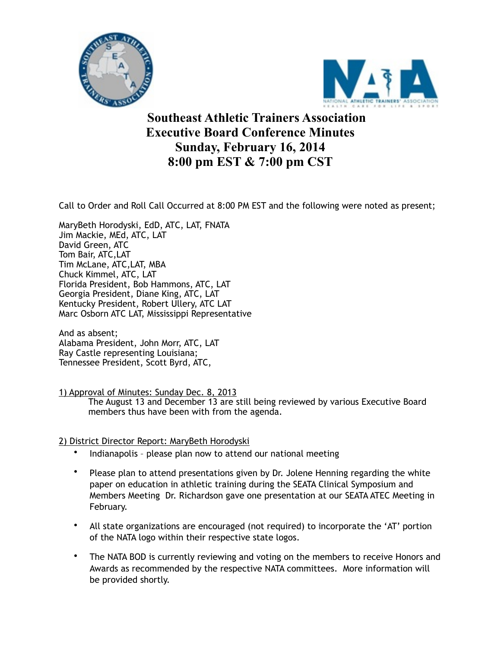



**Southeast Athletic Trainers Association Executive Board Conference Minutes Sunday, February 16, 2014 8:00 pm EST & 7:00 pm CST**

Call to Order and Roll Call Occurred at 8:00 PM EST and the following were noted as present;

MaryBeth Horodyski, EdD, ATC, LAT, FNATA Jim Mackie, MEd, ATC, LAT David Green, ATC Tom Bair, ATC,LAT Tim McLane, ATC,LAT, MBA Chuck Kimmel, ATC, LAT Florida President, Bob Hammons, ATC, LAT Georgia President, Diane King, ATC, LAT Kentucky President, Robert Ullery, ATC LAT Marc Osborn ATC LAT, Mississippi Representative

And as absent; Alabama President, John Morr, ATC, LAT Ray Castle representing Louisiana; Tennessee President, Scott Byrd, ATC,

1) Approval of Minutes: Sunday Dec. 8, 2013

 The August 13 and December 13 are still being reviewed by various Executive Board members thus have been with from the agenda.

# 2) District Director Report: MaryBeth Horodyski

- Indianapolis please plan now to attend our national meeting
- Please plan to attend presentations given by Dr. Jolene Henning regarding the white paper on education in athletic training during the SEATA Clinical Symposium and Members Meeting Dr. Richardson gave one presentation at our SEATA ATEC Meeting in February.
- All state organizations are encouraged (not required) to incorporate the 'AT' portion of the NATA logo within their respective state logos.
- The NATA BOD is currently reviewing and voting on the members to receive Honors and Awards as recommended by the respective NATA committees. More information will be provided shortly.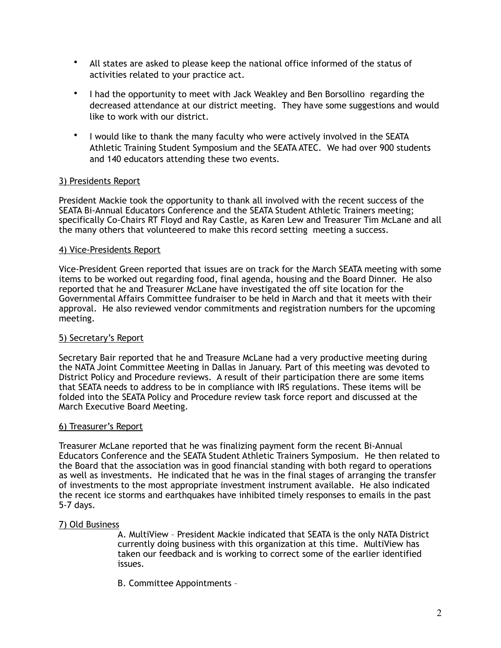- All states are asked to please keep the national office informed of the status of activities related to your practice act.
- I had the opportunity to meet with Jack Weakley and Ben Borsollino regarding the decreased attendance at our district meeting. They have some suggestions and would like to work with our district.
- I would like to thank the many faculty who were actively involved in the SEATA Athletic Training Student Symposium and the SEATA ATEC. We had over 900 students and 140 educators attending these two events.

## 3) Presidents Report

President Mackie took the opportunity to thank all involved with the recent success of the SEATA Bi-Annual Educators Conference and the SEATA Student Athletic Trainers meeting; specifically Co-Chairs RT Floyd and Ray Castle, as Karen Lew and Treasurer Tim McLane and all the many others that volunteered to make this record setting meeting a success.

## 4) Vice-Presidents Report

Vice-President Green reported that issues are on track for the March SEATA meeting with some items to be worked out regarding food, final agenda, housing and the Board Dinner. He also reported that he and Treasurer McLane have investigated the off site location for the Governmental Affairs Committee fundraiser to be held in March and that it meets with their approval. He also reviewed vendor commitments and registration numbers for the upcoming meeting.

## 5) Secretary's Report

Secretary Bair reported that he and Treasure McLane had a very productive meeting during the NATA Joint Committee Meeting in Dallas in January. Part of this meeting was devoted to District Policy and Procedure reviews. A result of their participation there are some items that SEATA needs to address to be in compliance with IRS regulations. These items will be folded into the SEATA Policy and Procedure review task force report and discussed at the March Executive Board Meeting.

## 6) Treasurer's Report

Treasurer McLane reported that he was finalizing payment form the recent Bi-Annual Educators Conference and the SEATA Student Athletic Trainers Symposium. He then related to the Board that the association was in good financial standing with both regard to operations as well as investments. He indicated that he was in the final stages of arranging the transfer of investments to the most appropriate investment instrument available. He also indicated the recent ice storms and earthquakes have inhibited timely responses to emails in the past 5-7 days.

### 7) Old Business

A. MultiView – President Mackie indicated that SEATA is the only NATA District currently doing business with this organization at this time. MultiView has taken our feedback and is working to correct some of the earlier identified issues.

B. Committee Appointments –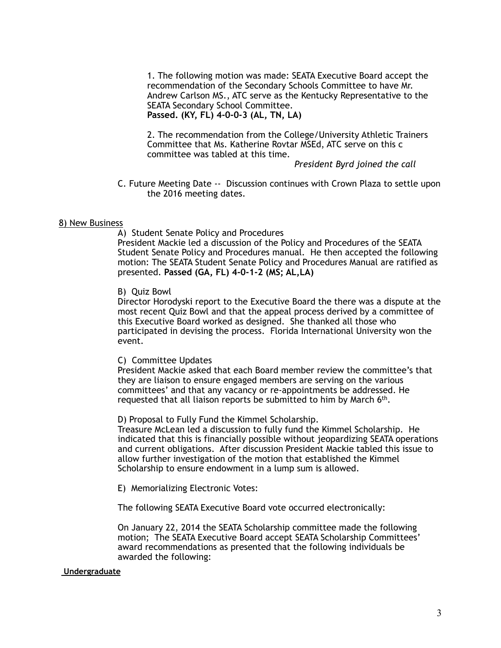1. The following motion was made: SEATA Executive Board accept the recommendation of the Secondary Schools Committee to have Mr. Andrew Carlson MS., ATC serve as the Kentucky Representative to the SEATA Secondary School Committee. **Passed. (KY, FL) 4-0-0-3 (AL, TN, LA)**

2. The recommendation from the College/University Athletic Trainers Committee that Ms. Katherine Rovtar MSEd, ATC serve on this c committee was tabled at this time.

*President Byrd joined the call*

 C. Future Meeting Date -- Discussion continues with Crown Plaza to settle upon the 2016 meeting dates.

#### 8) New Business

A) Student Senate Policy and Procedures

President Mackie led a discussion of the Policy and Procedures of the SEATA Student Senate Policy and Procedures manual. He then accepted the following motion: The SEATA Student Senate Policy and Procedures Manual are ratified as presented. **Passed (GA, FL) 4-0-1-2 (MS; AL,LA)**

#### B) Quiz Bowl

Director Horodyski report to the Executive Board the there was a dispute at the most recent Quiz Bowl and that the appeal process derived by a committee of this Executive Board worked as designed. She thanked all those who participated in devising the process. Florida International University won the event.

#### C) Committee Updates

President Mackie asked that each Board member review the committee's that they are liaison to ensure engaged members are serving on the various committees' and that any vacancy or re-appointments be addressed. He requested that all liaison reports be submitted to him by March  $6<sup>th</sup>$ .

D) Proposal to Fully Fund the Kimmel Scholarship.

Treasure McLean led a discussion to fully fund the Kimmel Scholarship. He indicated that this is financially possible without jeopardizing SEATA operations and current obligations. After discussion President Mackie tabled this issue to allow further investigation of the motion that established the Kimmel Scholarship to ensure endowment in a lump sum is allowed.

E) Memorializing Electronic Votes:

The following SEATA Executive Board vote occurred electronically:

On January 22, 2014 the SEATA Scholarship committee made the following motion; The SEATA Executive Board accept SEATA Scholarship Committees' award recommendations as presented that the following individuals be awarded the following:

### **Undergraduate**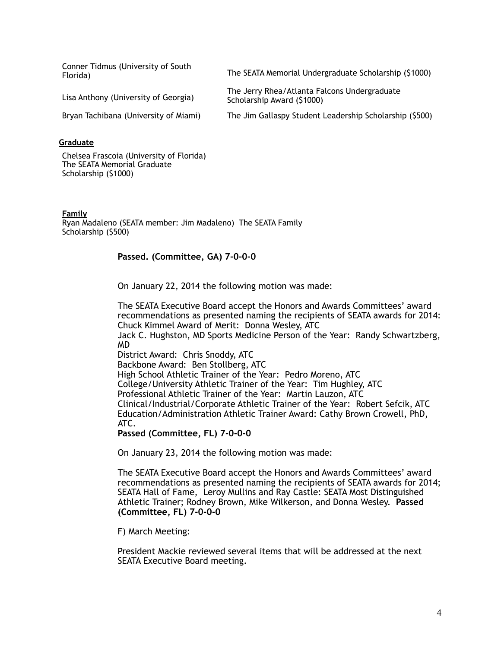Conner Tidmus (University of South

Florida) The SEATA Memorial Undergraduate Scholarship (\$1000)

Lisa Anthony (University of Georgia) The Jerry Rhea/Atlanta Falcons Undergraduate

Bryan Tachibana (University of Miami) The Jim Gallaspy Student Leadership Scholarship (\$500)

### **Graduate**

Chelsea Frascoia (University of Florida) The SEATA Memorial Graduate Scholarship (\$1000)

#### **Family**

Ryan Madaleno (SEATA member: Jim Madaleno) The SEATA Family Scholarship (\$500)

### **Passed. (Committee, GA) 7-0-0-0**

On January 22, 2014 the following motion was made:

The SEATA Executive Board accept the Honors and Awards Committees' award recommendations as presented naming the recipients of SEATA awards for 2014: Chuck Kimmel Award of Merit: Donna Wesley, ATC Jack C. Hughston, MD Sports Medicine Person of the Year: Randy Schwartzberg, MD District Award: Chris Snoddy, ATC Backbone Award: Ben Stollberg, ATC High School Athletic Trainer of the Year: Pedro Moreno, ATC College/University Athletic Trainer of the Year: Tim Hughley, ATC Professional Athletic Trainer of the Year: Martin Lauzon, ATC Clinical/Industrial/Corporate Athletic Trainer of the Year: Robert Sefcik, ATC Education/Administration Athletic Trainer Award: Cathy Brown Crowell, PhD, ATC.

Scholarship Award (\$1000)

**Passed (Committee, FL) 7-0-0-0**

On January 23, 2014 the following motion was made:

The SEATA Executive Board accept the Honors and Awards Committees' award recommendations as presented naming the recipients of SEATA awards for 2014; SEATA Hall of Fame, Leroy Mullins and Ray Castle: SEATA Most Distinguished Athletic Trainer; Rodney Brown, Mike Wilkerson, and Donna Wesley. **Passed (Committee, FL) 7-0-0-0**

F) March Meeting:

President Mackie reviewed several items that will be addressed at the next SEATA Executive Board meeting.